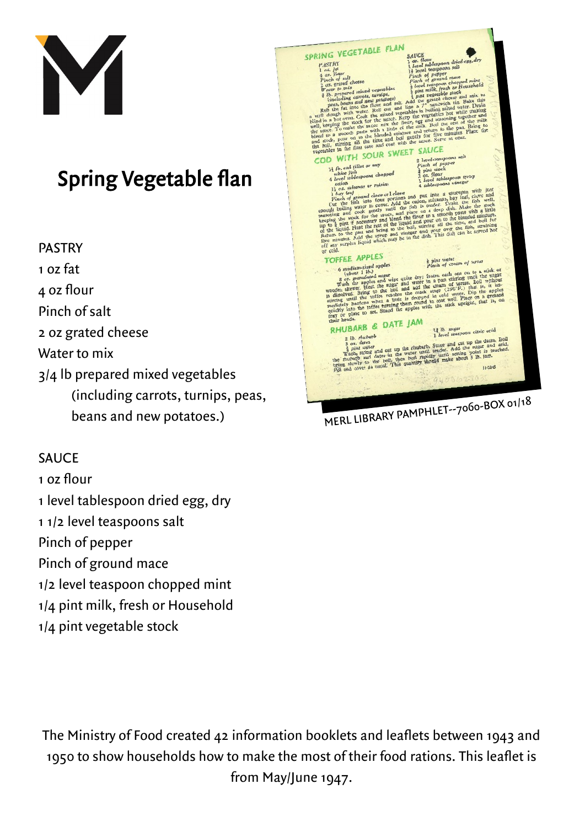

## sping regement flan

**PASTRY** 1 oz fat 4 oz flour Pinch of salt 2 oz grated cheese Water to mix  $3/4$  lb prepared mixed vegetables (including carrots, turnips, peas,  $\binom{1}{x}$  can  $\binom{1}{x}$  carrots, turning carried  $\binom{1}{x}$ beans and new potatoes.)

## **SAUCE**

 $1.07$  flour

- 1 level tablespoon dried egg, dry
- 1 1/2 level teaspoons salt

Pinch of pepper

- Pinch of ground mace
- $1/2$  level teaspoon chopped mint
- $1/4$  pint milk, fresh or Household
- 1/4 pint milk, fresh or Household  $17 \text{ p}$  m  $2 \text{ g}$  can be stock.



The Ministers of The Ministers and the Ministers and leaflets and leaflets and leaflets and leaflets between 1 1950 to show that the most of the most of the most of the most of the most of the most of the most of the most of the most of the most of the most of the most of the most of the most of the most of the most of the most of from May/June 1947.